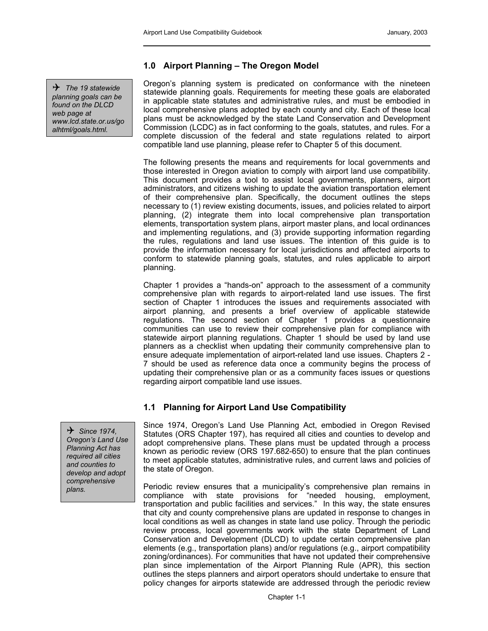4 *The 19 statewide planning goals can be found on the DLCD web page at www.lcd.state.or.us/go alhtml/goals.html.* 

# **1.0 Airport Planning – The Oregon Model**

Oregon's planning system is predicated on conformance with the nineteen statewide planning goals. Requirements for meeting these goals are elaborated in applicable state statutes and administrative rules, and must be embodied in local comprehensive plans adopted by each county and city. Each of these local plans must be acknowledged by the state Land Conservation and Development Commission (LCDC) as in fact conforming to the goals, statutes, and rules. For a complete discussion of the federal and state regulations related to airport compatible land use planning, please refer to Chapter 5 of this document.

The following presents the means and requirements for local governments and those interested in Oregon aviation to comply with airport land use compatibility. This document provides a tool to assist local governments, planners, airport administrators, and citizens wishing to update the aviation transportation element of their comprehensive plan. Specifically, the document outlines the steps necessary to (1) review existing documents, issues, and policies related to airport planning, (2) integrate them into local comprehensive plan transportation elements, transportation system plans, airport master plans, and local ordinances and implementing regulations, and (3) provide supporting information regarding the rules, regulations and land use issues. The intention of this guide is to provide the information necessary for local jurisdictions and affected airports to conform to statewide planning goals, statutes, and rules applicable to airport planning.

Chapter 1 provides a "hands-on" approach to the assessment of a community comprehensive plan with regards to airport-related land use issues. The first section of Chapter 1 introduces the issues and requirements associated with airport planning, and presents a brief overview of applicable statewide regulations. The second section of Chapter 1 provides a questionnaire communities can use to review their comprehensive plan for compliance with statewide airport planning regulations. Chapter 1 should be used by land use planners as a checklist when updating their community comprehensive plan to ensure adequate implementation of airport-related land use issues. Chapters 2 - 7 should be used as reference data once a community begins the process of updating their comprehensive plan or as a community faces issues or questions regarding airport compatible land use issues.

# **1.1 Planning for Airport Land Use Compatibility**

Since 1974, Oregon's Land Use Planning Act, embodied in Oregon Revised Statutes (ORS Chapter 197), has required all cities and counties to develop and adopt comprehensive plans. These plans must be updated through a process known as periodic review (ORS 197.682-650) to ensure that the plan continues to meet applicable statutes, administrative rules, and current laws and policies of the state of Oregon.

*plans.* Periodic review ensures that a municipality's comprehensive plan remains in compliance with state provisions for "needed housing, employment, transportation and public facilities and services." In this way, the state ensures that city and county comprehensive plans are updated in response to changes in local conditions as well as changes in state land use policy. Through the periodic review process, local governments work with the state Department of Land Conservation and Development (DLCD) to update certain comprehensive plan elements (e.g., transportation plans) and/or regulations (e.g., airport compatibility zoning/ordinances). For communities that have not updated their comprehensive plan since implementation of the Airport Planning Rule (APR), this section outlines the steps planners and airport operators should undertake to ensure that policy changes for airports statewide are addressed through the periodic review

4 *Since 1974, Oregon's Land Use Planning Act has required all cities and counties to develop and adopt comprehensive*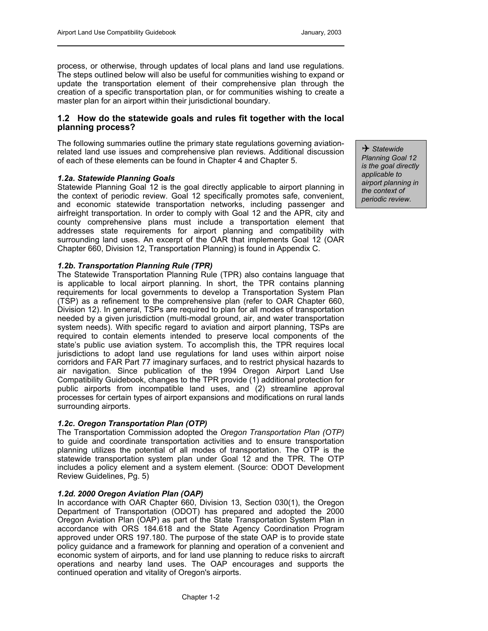process, or otherwise, through updates of local plans and land use regulations. The steps outlined below will also be useful for communities wishing to expand or update the transportation element of their comprehensive plan through the creation of a specific transportation plan, or for communities wishing to create a master plan for an airport within their jurisdictional boundary.

## **1.2 How do the statewide goals and rules fit together with the local planning process?**

The following summaries outline the primary state regulations governing aviationrelated land use issues and comprehensive plan reviews. Additional discussion of each of these elements can be found in Chapter 4 and Chapter 5.

### *1.2a. Statewide Planning Goals*

Statewide Planning Goal 12 is the goal directly applicable to airport planning in the context of periodic review. Goal 12 specifically promotes safe, convenient, and economic statewide transportation networks, including passenger and airfreight transportation. In order to comply with Goal 12 and the APR, city and county comprehensive plans must include a transportation element that addresses state requirements for airport planning and compatibility with surrounding land uses. An excerpt of the OAR that implements Goal 12 (OAR Chapter 660, Division 12, Transportation Planning) is found in Appendix C.

#### *1.2b. Transportation Planning Rule (TPR)*

The Statewide Transportation Planning Rule (TPR) also contains language that is applicable to local airport planning. In short, the TPR contains planning requirements for local governments to develop a Transportation System Plan (TSP) as a refinement to the comprehensive plan (refer to OAR Chapter 660, Division 12). In general, TSPs are required to plan for all modes of transportation needed by a given jurisdiction (multi-modal ground, air, and water transportation system needs). With specific regard to aviation and airport planning, TSPs are required to contain elements intended to preserve local components of the state's public use aviation system. To accomplish this, the TPR requires local jurisdictions to adopt land use regulations for land uses within airport noise corridors and FAR Part 77 imaginary surfaces, and to restrict physical hazards to air navigation. Since publication of the 1994 Oregon Airport Land Use Compatibility Guidebook, changes to the TPR provide (1) additional protection for public airports from incompatible land uses, and (2) streamline approval processes for certain types of airport expansions and modifications on rural lands surrounding airports.

### *1.2c. Oregon Transportation Plan (OTP)*

The Transportation Commission adopted the *Oregon Transportation Plan (OTP)* to guide and coordinate transportation activities and to ensure transportation planning utilizes the potential of all modes of transportation. The OTP is the statewide transportation system plan under Goal 12 and the TPR. The OTP includes a policy element and a system element. (Source: ODOT Development Review Guidelines, Pg. 5)

### *1.2d. 2000 Oregon Aviation Plan (OAP)*

In accordance with OAR Chapter 660, Division 13, Section 030(1), the Oregon Department of Transportation (ODOT) has prepared and adopted the 2000 Oregon Aviation Plan (OAP) as part of the State Transportation System Plan in accordance with ORS 184.618 and the State Agency Coordination Program approved under ORS 197.180. The purpose of the state OAP is to provide state policy guidance and a framework for planning and operation of a convenient and economic system of airports, and for land use planning to reduce risks to aircraft operations and nearby land uses. The OAP encourages and supports the continued operation and vitality of Oregon's airports.

4 *Statewide Planning Goal 12 is the goal directly applicable to airport planning in the context of periodic review.*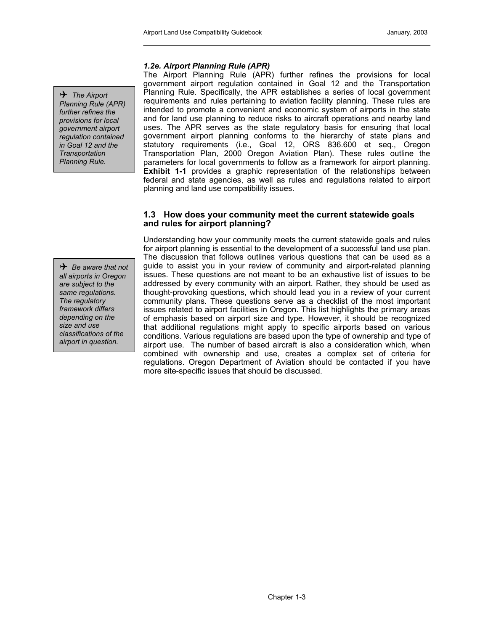## *1.2e. Airport Planning Rule (APR)*

4 *The Airport Planning Rule (APR) further refines the provisions for local government airport regulation contained in Goal 12 and the Transportation Planning Rule.*

The Airport Planning Rule (APR) further refines the provisions for local government airport regulation contained in Goal 12 and the Transportation Planning Rule. Specifically, the APR establishes a series of local government requirements and rules pertaining to aviation facility planning. These rules are intended to promote a convenient and economic system of airports in the state and for land use planning to reduce risks to aircraft operations and nearby land uses. The APR serves as the state regulatory basis for ensuring that local government airport planning conforms to the hierarchy of state plans and statutory requirements (i.e., Goal 12, ORS 836.600 et seq., Oregon Transportation Plan, 2000 Oregon Aviation Plan). These rules outline the parameters for local governments to follow as a framework for airport planning. **Exhibit 1-1** provides a graphic representation of the relationships between federal and state agencies, as well as rules and regulations related to airport planning and land use compatibility issues.

## **1.3 How does your community meet the current statewide goals and rules for airport planning?**

Understanding how your community meets the current statewide goals and rules for airport planning is essential to the development of a successful land use plan. The discussion that follows outlines various questions that can be used as a guide to assist you in your review of community and airport-related planning issues. These questions are not meant to be an exhaustive list of issues to be addressed by every community with an airport. Rather, they should be used as thought-provoking questions, which should lead you in a review of your current community plans. These questions serve as a checklist of the most important issues related to airport facilities in Oregon. This list highlights the primary areas of emphasis based on airport size and type. However, it should be recognized that additional regulations might apply to specific airports based on various conditions. Various regulations are based upon the type of ownership and type of airport use. The number of based aircraft is also a consideration which, when combined with ownership and use, creates a complex set of criteria for regulations. Oregon Department of Aviation should be contacted if you have more site-specific issues that should be discussed.

4 *Be aware that not all airports in Oregon are subject to the same regulations. The regulatory framework differs depending on the size and use classifications of the airport in question.*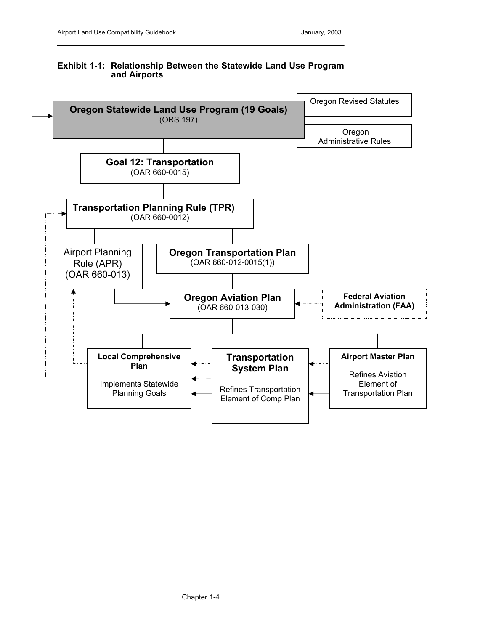# **Exhibit 1-1: Relationship Between the Statewide Land Use Program and Airports**

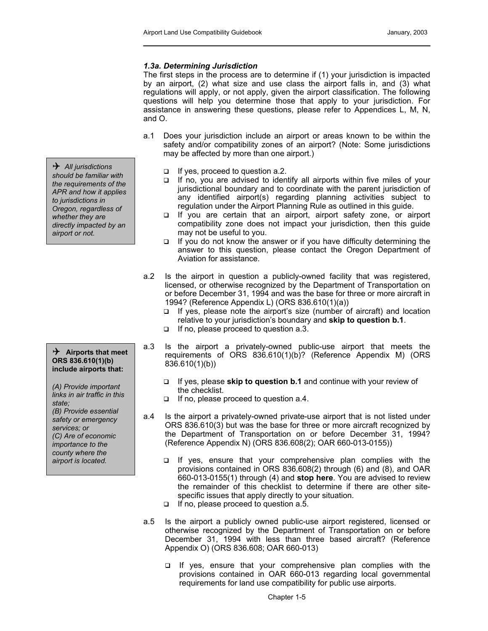### *1.3a. Determining Jurisdiction*

The first steps in the process are to determine if (1) your jurisdiction is impacted by an airport, (2) what size and use class the airport falls in, and (3) what regulations will apply, or not apply, given the airport classification. The following questions will help you determine those that apply to your jurisdiction. For assistance in answering these questions, please refer to Appendices L, M, N, and O.

- a.1 Does your jurisdiction include an airport or areas known to be within the safety and/or compatibility zones of an airport? (Note: Some jurisdictions may be affected by more than one airport.)
	- $\Box$  If yes, proceed to question a.2.
	- $\Box$  If no, you are advised to identify all airports within five miles of your jurisdictional boundary and to coordinate with the parent jurisdiction of any identified airport(s) regarding planning activities subject to regulation under the Airport Planning Rule as outlined in this guide.
	- □ If you are certain that an airport, airport safety zone, or airport compatibility zone does not impact your jurisdiction, then this guide may not be useful to you.
	- $\Box$  If you do not know the answer or if you have difficulty determining the answer to this question, please contact the Oregon Department of Aviation for assistance.
- a.2 Is the airport in question a publicly-owned facility that was registered, licensed, or otherwise recognized by the Department of Transportation on or before December 31, 1994 and was the base for three or more aircraft in 1994? (Reference Appendix L) (ORS 836.610(1)(a))
	- $\Box$  If yes, please note the airport's size (number of aircraft) and location relative to your jurisdiction's boundary and **skip to question b.1**.
	- If no, please proceed to question a.3.
- a.3 Is the airport a privately-owned public-use airport that meets the requirements of ORS 836.610(1)(b)? (Reference Appendix M) (ORS 836.610(1)(b))
	- If yes, please **skip to question b.1** and continue with your review of the checklist.
	- $\Box$  If no, please proceed to question a.4.
- a.4 Is the airport a privately-owned private-use airport that is not listed under ORS 836.610(3) but was the base for three or more aircraft recognized by the Department of Transportation on or before December 31, 1994? (Reference Appendix N) (ORS 836.608(2); OAR 660-013-0155))
	- $\Box$  If yes, ensure that your comprehensive plan complies with the provisions contained in ORS 836.608(2) through (6) and (8), and OAR 660-013-0155(1) through (4) and **stop here**. You are advised to review the remainder of this checklist to determine if there are other sitespecific issues that apply directly to your situation.
	- $\Box$  If no, please proceed to question a.5.
- a.5 Is the airport a publicly owned public-use airport registered, licensed or otherwise recognized by the Department of Transportation on or before December 31, 1994 with less than three based aircraft? (Reference Appendix O) (ORS 836.608; OAR 660-013)
	- If yes, ensure that your comprehensive plan complies with the provisions contained in OAR 660-013 regarding local governmental requirements for land use compatibility for public use airports.

4 *All jurisdictions should be familiar with the requirements of the APR and how it applies to jurisdictions in Oregon, regardless of whether they are directly impacted by an airport or not.*

4 **Airports that meet ORS 836.610(1)(b) include airports that:** 

*(A) Provide important links in air traffic in this state; (B) Provide essential safety or emergency services; or (C) Are of economic importance to the county where the airport is located.*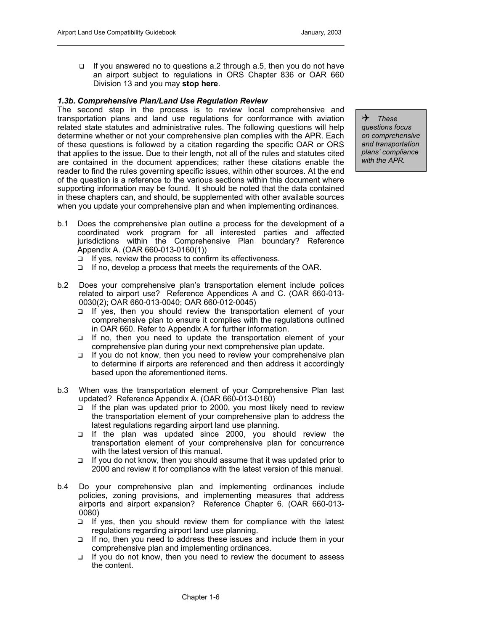$\Box$  If you answered no to questions a.2 through a.5, then you do not have an airport subject to regulations in ORS Chapter 836 or OAR 660 Division 13 and you may **stop here**.

### *1.3b. Comprehensive Plan/Land Use Regulation Review*

The second step in the process is to review local comprehensive and transportation plans and land use regulations for conformance with aviation related state statutes and administrative rules. The following questions will help determine whether or not your comprehensive plan complies with the APR. Each of these questions is followed by a citation regarding the specific OAR or ORS that applies to the issue. Due to their length, not all of the rules and statutes cited are contained in the document appendices; rather these citations enable the reader to find the rules governing specific issues, within other sources. At the end of the question is a reference to the various sections within this document where supporting information may be found. It should be noted that the data contained in these chapters can, and should, be supplemented with other available sources when you update your comprehensive plan and when implementing ordinances.

4 *These questions focus on comprehensive and transportation plans' compliance with the APR.*

- b.1 Does the comprehensive plan outline a process for the development of a coordinated work program for all interested parties and affected jurisdictions within the Comprehensive Plan boundary? Reference Appendix A. (OAR 660-013-0160(1))
	- $\Box$  If yes, review the process to confirm its effectiveness.
	- $\Box$  If no, develop a process that meets the requirements of the OAR.
- b.2 Does your comprehensive plan's transportation element include polices related to airport use? Reference Appendices A and C. (OAR 660-013- 0030(2); OAR 660-013-0040; OAR 660-012-0045)
	- $\Box$  If yes, then you should review the transportation element of your comprehensive plan to ensure it complies with the regulations outlined in OAR 660. Refer to Appendix A for further information.
	- $\Box$  If no, then you need to update the transportation element of your comprehensive plan during your next comprehensive plan update.
	- $\Box$  If you do not know, then you need to review your comprehensive plan to determine if airports are referenced and then address it accordingly based upon the aforementioned items.
- b.3 When was the transportation element of your Comprehensive Plan last updated? Reference Appendix A. (OAR 660-013-0160)
	- $\Box$  If the plan was updated prior to 2000, you most likely need to review the transportation element of your comprehensive plan to address the latest regulations regarding airport land use planning.
	- If the plan was updated since 2000, you should review the transportation element of your comprehensive plan for concurrence with the latest version of this manual.
	- $\Box$  If you do not know, then you should assume that it was updated prior to 2000 and review it for compliance with the latest version of this manual.
- b.4 Do your comprehensive plan and implementing ordinances include policies, zoning provisions, and implementing measures that address airports and airport expansion? Reference Chapter 6. (OAR 660-013- 0080)
	- $\Box$  If yes, then you should review them for compliance with the latest regulations regarding airport land use planning.
	- $\Box$  If no, then you need to address these issues and include them in your comprehensive plan and implementing ordinances.
	- $\Box$  If you do not know, then you need to review the document to assess the content.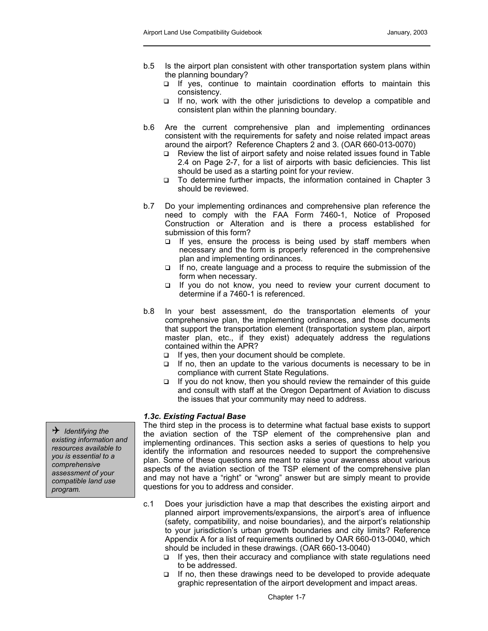- b.5 Is the airport plan consistent with other transportation system plans within the planning boundary?
	- □ If yes, continue to maintain coordination efforts to maintain this consistency.
	- $\Box$  If no, work with the other jurisdictions to develop a compatible and consistent plan within the planning boundary.
- b.6 Are the current comprehensive plan and implementing ordinances consistent with the requirements for safety and noise related impact areas around the airport? Reference Chapters 2 and 3. (OAR 660-013-0070)
	- □ Review the list of airport safety and noise related issues found in Table 2.4 on Page 2-7, for a list of airports with basic deficiencies. This list should be used as a starting point for your review.
	- □ To determine further impacts, the information contained in Chapter 3 should be reviewed.
- b.7 Do your implementing ordinances and comprehensive plan reference the need to comply with the FAA Form 7460-1, Notice of Proposed Construction or Alteration and is there a process established for submission of this form?
	- $\Box$  If yes, ensure the process is being used by staff members when necessary and the form is properly referenced in the comprehensive plan and implementing ordinances.
	- $\Box$  If no, create language and a process to require the submission of the form when necessary.
	- If you do not know, you need to review your current document to determine if a 7460-1 is referenced.
- b.8 In your best assessment, do the transportation elements of your comprehensive plan, the implementing ordinances, and those documents that support the transportation element (transportation system plan, airport master plan, etc., if they exist) adequately address the regulations contained within the APR?
	- $\Box$  If yes, then your document should be complete.
	- $\Box$  If no, then an update to the various documents is necessary to be in compliance with current State Regulations.
	- $\Box$  If you do not know, then you should review the remainder of this guide and consult with staff at the Oregon Department of Aviation to discuss the issues that your community may need to address.

#### *1.3c. Existing Factual Base*

The third step in the process is to determine what factual base exists to support the aviation section of the TSP element of the comprehensive plan and implementing ordinances. This section asks a series of questions to help you identify the information and resources needed to support the comprehensive plan. Some of these questions are meant to raise your awareness about various aspects of the aviation section of the TSP element of the comprehensive plan and may not have a "right" or "wrong" answer but are simply meant to provide questions for you to address and consider.

- c.1 Does your jurisdiction have a map that describes the existing airport and planned airport improvements/expansions, the airport's area of influence (safety, compatibility, and noise boundaries), and the airport's relationship to your jurisdiction's urban growth boundaries and city limits? Reference Appendix A for a list of requirements outlined by OAR 660-013-0040, which should be included in these drawings. (OAR 660-13-0040)
	- $\Box$  If yes, then their accuracy and compliance with state regulations need to be addressed.
	- $\Box$  If no, then these drawings need to be developed to provide adequate graphic representation of the airport development and impact areas.

4 *Identifying the existing information and resources available to you is essential to a comprehensive assessment of your compatible land use program.*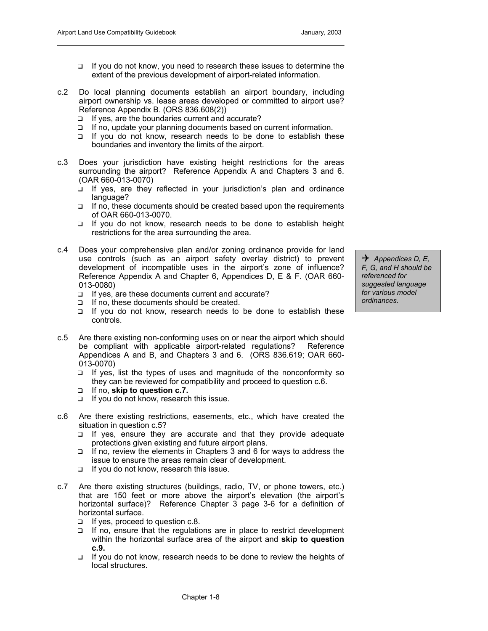- □ If you do not know, you need to research these issues to determine the extent of the previous development of airport-related information.
- c.2 Do local planning documents establish an airport boundary, including airport ownership vs. lease areas developed or committed to airport use? Reference Appendix B. (ORS 836.608(2))
	- If yes, are the boundaries current and accurate?
	- □ If no, update your planning documents based on current information.
	- $\Box$  If you do not know, research needs to be done to establish these boundaries and inventory the limits of the airport.
- c.3 Does your jurisdiction have existing height restrictions for the areas surrounding the airport? Reference Appendix A and Chapters 3 and 6. (OAR 660-013-0070)
	- $\Box$  If yes, are they reflected in your jurisdiction's plan and ordinance language?
	- $\Box$  If no, these documents should be created based upon the requirements of OAR 660-013-0070.
	- □ If you do not know, research needs to be done to establish height restrictions for the area surrounding the area.
- c.4 Does your comprehensive plan and/or zoning ordinance provide for land use controls (such as an airport safety overlay district) to prevent development of incompatible uses in the airport's zone of influence? Reference Appendix A and Chapter 6, Appendices D, E & F. (OAR 660- 013-0080)
	- $\Box$  If yes, are these documents current and accurate?
	- $\Box$  If no, these documents should be created.
	- $\Box$  If you do not know, research needs to be done to establish these controls.
- c.5 Are there existing non-conforming uses on or near the airport which should be compliant with applicable airport-related regulations? Reference Appendices A and B, and Chapters 3 and 6. (ORS 836.619; OAR 660- 013-0070)
	- $\Box$  If yes, list the types of uses and magnitude of the nonconformity so they can be reviewed for compatibility and proceed to question c.6.
	- If no, **skip to question c.7.**
	- $\Box$  If you do not know, research this issue.
- c.6 Are there existing restrictions, easements, etc., which have created the situation in question c.5?
	- If yes, ensure they are accurate and that they provide adequate protections given existing and future airport plans.
	- $\Box$  If no, review the elements in Chapters 3 and 6 for ways to address the issue to ensure the areas remain clear of development.
	- If you do not know, research this issue.
- c.7 Are there existing structures (buildings, radio, TV, or phone towers, etc.) that are 150 feet or more above the airport's elevation (the airport's horizontal surface)? Reference Chapter 3 page 3-6 for a definition of horizontal surface.
	- $\Box$  If yes, proceed to question c.8.
	- $\Box$  If no, ensure that the regulations are in place to restrict development within the horizontal surface area of the airport and **skip to question c.9.**
	- $\Box$  If you do not know, research needs to be done to review the heights of local structures.

4 *Appendices D, E, F, G, and H should be referenced for suggested language for various model ordinances.*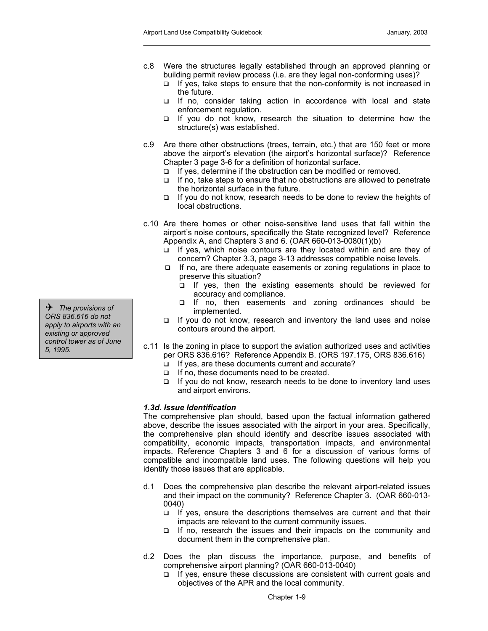- c.8 Were the structures legally established through an approved planning or building permit review process (i.e. are they legal non-conforming uses)?
	- $\Box$  If yes, take steps to ensure that the non-conformity is not increased in the future.
	- If no, consider taking action in accordance with local and state enforcement regulation.
	- □ If you do not know, research the situation to determine how the structure(s) was established.
- c.9 Are there other obstructions (trees, terrain, etc.) that are 150 feet or more above the airport's elevation (the airport's horizontal surface)? Reference Chapter 3 page 3-6 for a definition of horizontal surface.
	- $\Box$  If yes, determine if the obstruction can be modified or removed.
	- $\Box$  If no, take steps to ensure that no obstructions are allowed to penetrate the horizontal surface in the future.
	- $\Box$  If you do not know, research needs to be done to review the heights of local obstructions.
- c.10 Are there homes or other noise-sensitive land uses that fall within the airport's noise contours, specifically the State recognized level? Reference Appendix A, and Chapters 3 and 6. (OAR 660-013-0080(1)(b)
	- $\Box$  If yes, which noise contours are they located within and are they of concern? Chapter 3.3, page 3-13 addresses compatible noise levels.
	- $\Box$  If no, are there adequate easements or zoning regulations in place to preserve this situation?
		- □ If yes, then the existing easements should be reviewed for accuracy and compliance.
- If no, then easements and zoning ordinances should be <sup>4</sup> implemented. *The provisions of* 
	- □ If you do not know, research and inventory the land uses and noise contours around the airport.
	- c.11 Is the zoning in place to support the aviation authorized uses and activities per ORS 836.616? Reference Appendix B. (ORS 197.175, ORS 836.616)
		- $\Box$  If yes, are these documents current and accurate?
		- $\Box$  If no, these documents need to be created.
		- $\Box$  If you do not know, research needs to be done to inventory land uses and airport environs.

#### *1.3d. Issue Identification*

The comprehensive plan should, based upon the factual information gathered above, describe the issues associated with the airport in your area. Specifically, the comprehensive plan should identify and describe issues associated with compatibility, economic impacts, transportation impacts, and environmental impacts. Reference Chapters 3 and 6 for a discussion of various forms of compatible and incompatible land uses. The following questions will help you identify those issues that are applicable.

- d.1 Does the comprehensive plan describe the relevant airport-related issues and their impact on the community? Reference Chapter 3. (OAR 660-013- 0040)
	- $\Box$  If yes, ensure the descriptions themselves are current and that their impacts are relevant to the current community issues.
	- $\Box$  If no, research the issues and their impacts on the community and document them in the comprehensive plan.
- d.2 Does the plan discuss the importance, purpose, and benefits of comprehensive airport planning? (OAR 660-013-0040)
	- $\Box$  If yes, ensure these discussions are consistent with current goals and objectives of the APR and the local community.

*ORS 836.616 do not apply to airports with an existing or approved control tower as of June 5, 1995.*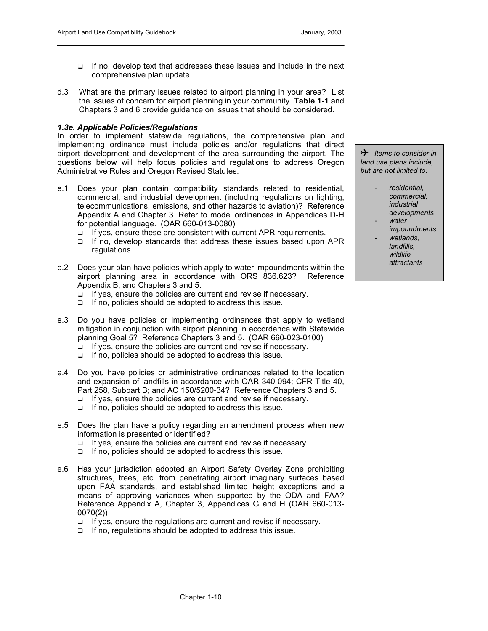- $\Box$  If no, develop text that addresses these issues and include in the next comprehensive plan update.
- d.3 What are the primary issues related to airport planning in your area? List the issues of concern for airport planning in your community. **Table 1-1** and Chapters 3 and 6 provide guidance on issues that should be considered.

### *1.3e. Applicable Policies/Regulations*

In order to implement statewide regulations, the comprehensive plan and implementing ordinance must include policies and/or regulations that direct airport development and development of the area surrounding the airport. The questions below will help focus policies and regulations to address Oregon Administrative Rules and Oregon Revised Statutes.

- e.1 Does your plan contain compatibility standards related to residential, commercial, and industrial development (including regulations on lighting, telecommunications, emissions, and other hazards to aviation)? Reference Appendix A and Chapter 3. Refer to model ordinances in Appendices D-H for potential language. (OAR 660-013-0080)
	- $\Box$  If yes, ensure these are consistent with current APR requirements.
	- $\Box$  If no, develop standards that address these issues based upon APR regulations.
- e.2 Does your plan have policies which apply to water impoundments within the airport planning area in accordance with ORS 836.623? Reference Appendix B, and Chapters 3 and 5.
	- $\Box$  If yes, ensure the policies are current and revise if necessary.
	- $\Box$  If no, policies should be adopted to address this issue.
- e.3 Do you have policies or implementing ordinances that apply to wetland mitigation in conjunction with airport planning in accordance with Statewide planning Goal 5? Reference Chapters 3 and 5. (OAR 660-023-0100)
	- $\Box$  If yes, ensure the policies are current and revise if necessary.
	- $\Box$  If no, policies should be adopted to address this issue.
- e.4 Do you have policies or administrative ordinances related to the location and expansion of landfills in accordance with OAR 340-094; CFR Title 40, Part 258, Subpart B; and AC 150/5200-34? Reference Chapters 3 and 5.
	- □ If yes, ensure the policies are current and revise if necessary.
	- $\Box$  If no, policies should be adopted to address this issue.
- e.5 Does the plan have a policy regarding an amendment process when new information is presented or identified?
	- □ If yes, ensure the policies are current and revise if necessary.
	- $\Box$  If no, policies should be adopted to address this issue.
- e.6 Has your jurisdiction adopted an Airport Safety Overlay Zone prohibiting structures, trees, etc. from penetrating airport imaginary surfaces based upon FAA standards, and established limited height exceptions and a means of approving variances when supported by the ODA and FAA? Reference Appendix A, Chapter 3, Appendices G and H (OAR 660-013- 0070(2))
	- $\Box$  If yes, ensure the regulations are current and revise if necessary.
	- $\Box$  If no, regulations should be adopted to address this issue.

4 *Items to consider in land use plans include, but are not limited to:* 

- *residential, commercial, industrial developments*
- *water impoundments*
- *wetlands, landfills, wildlife attractants*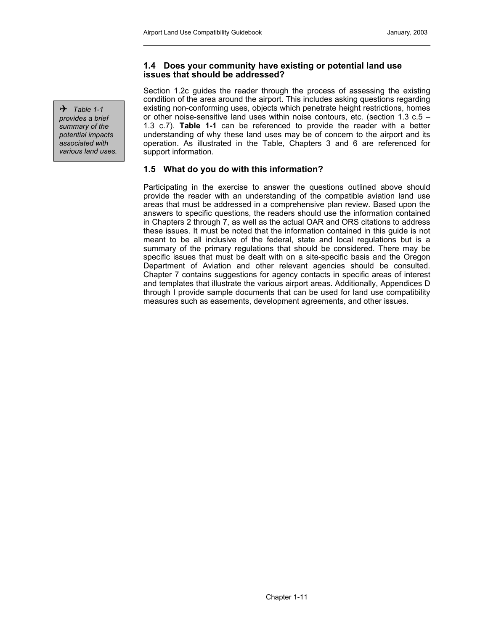### **1.4 Does your community have existing or potential land use issues that should be addressed?**

Section 1.2c guides the reader through the process of assessing the existing condition of the area around the airport. This includes asking questions regarding existing non-conforming uses, objects which penetrate height restrictions, homes or other noise-sensitive land uses within noise contours, etc. (section 1.3 c.5 – 1.3 c.7). **Table 1-1** can be referenced to provide the reader with a better understanding of why these land uses may be of concern to the airport and its operation. As illustrated in the Table, Chapters 3 and 6 are referenced for support information.

# **1.5 What do you do with this information?**

Participating in the exercise to answer the questions outlined above should provide the reader with an understanding of the compatible aviation land use areas that must be addressed in a comprehensive plan review. Based upon the answers to specific questions, the readers should use the information contained in Chapters 2 through 7, as well as the actual OAR and ORS citations to address these issues. It must be noted that the information contained in this guide is not meant to be all inclusive of the federal, state and local regulations but is a summary of the primary regulations that should be considered. There may be specific issues that must be dealt with on a site-specific basis and the Oregon Department of Aviation and other relevant agencies should be consulted. Chapter 7 contains suggestions for agency contacts in specific areas of interest and templates that illustrate the various airport areas. Additionally, Appendices D through I provide sample documents that can be used for land use compatibility measures such as easements, development agreements, and other issues.

 $\rightarrow$  Table 1-1 *provides a brief summary of the potential impacts associated with various land uses.*